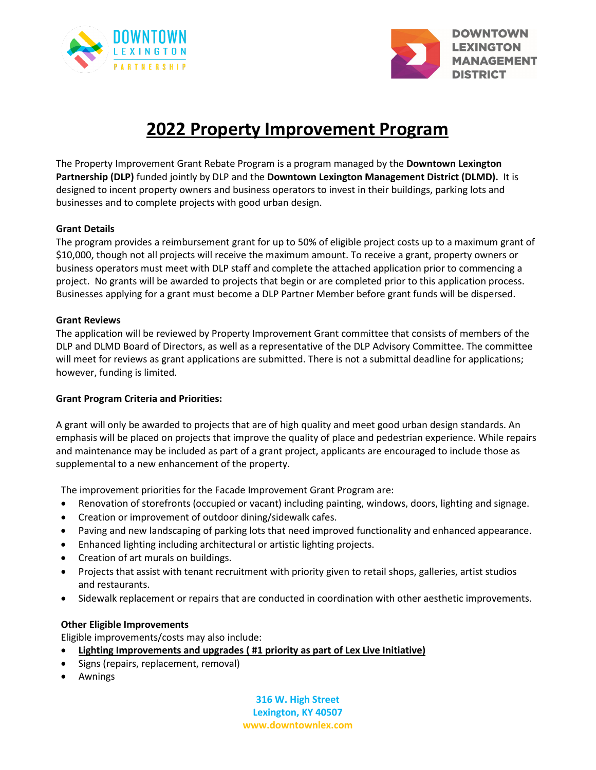



# **2022 Property Improvement Program**

The Property Improvement Grant Rebate Program is a program managed by the **Downtown Lexington Partnership (DLP)** funded jointly by DLP and the **Downtown Lexington Management District (DLMD).** It is designed to incent property owners and business operators to invest in their buildings, parking lots and businesses and to complete projects with good urban design.

#### **Grant Details**

The program provides a reimbursement grant for up to 50% of eligible project costs up to a maximum grant of \$10,000, though not all projects will receive the maximum amount. To receive a grant, property owners or business operators must meet with DLP staff and complete the attached application prior to commencing a project. No grants will be awarded to projects that begin or are completed prior to this application process. Businesses applying for a grant must become a DLP Partner Member before grant funds will be dispersed.

#### **Grant Reviews**

The application will be reviewed by Property Improvement Grant committee that consists of members of the DLP and DLMD Board of Directors, as well as a representative of the DLP Advisory Committee. The committee will meet for reviews as grant applications are submitted. There is not a submittal deadline for applications; however, funding is limited.

# **Grant Program Criteria and Priorities:**

A grant will only be awarded to projects that are of high quality and meet good urban design standards. An emphasis will be placed on projects that improve the quality of place and pedestrian experience. While repairs and maintenance may be included as part of a grant project, applicants are encouraged to include those as supplemental to a new enhancement of the property.

The improvement priorities for the Facade Improvement Grant Program are:

- Renovation of storefronts (occupied or vacant) including painting, windows, doors, lighting and signage.
- Creation or improvement of outdoor dining/sidewalk cafes.
- Paving and new landscaping of parking lots that need improved functionality and enhanced appearance.
- Enhanced lighting including architectural or artistic lighting projects.
- Creation of art murals on buildings.
- Projects that assist with tenant recruitment with priority given to retail shops, galleries, artist studios and restaurants.
- Sidewalk replacement or repairs that are conducted in coordination with other aesthetic improvements.

#### **Other Eligible Improvements**

Eligible improvements/costs may also include:

- **Lighting Improvements and upgrades ( #1 priority as part of Lex Live Initiative)**
- Signs (repairs, replacement, removal)
- Awnings